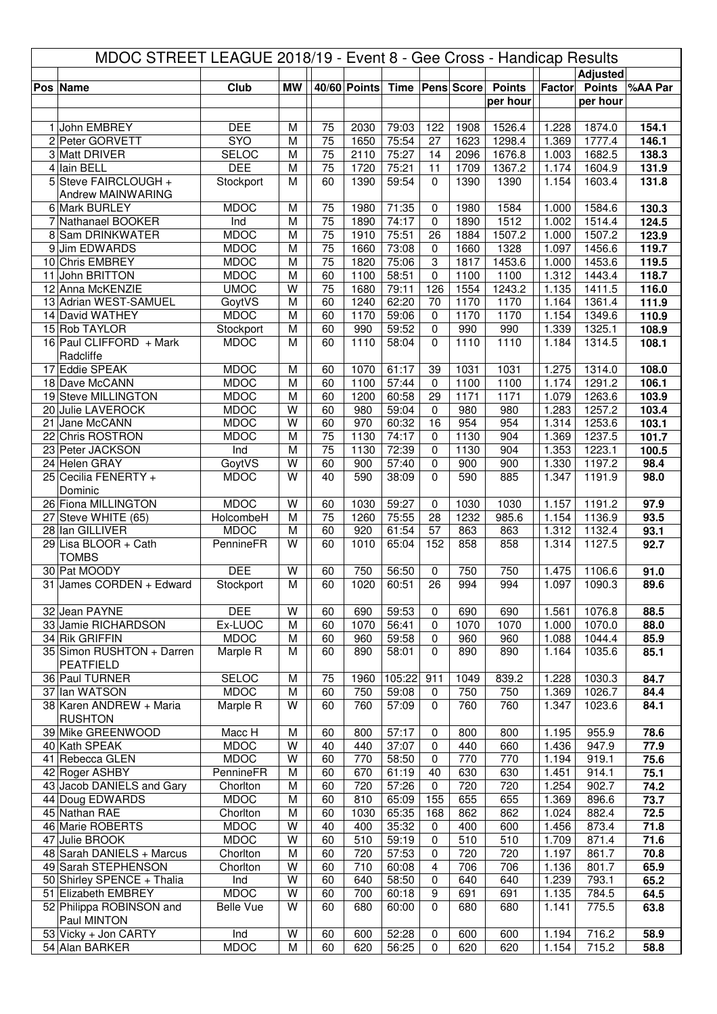| MDOC STREET LEAGUE 2018/19 - Event 8 - Gee Cross - Handicap Results |                                             |                            |        |          |              |                |                         |                     |                |                |                  |                |
|---------------------------------------------------------------------|---------------------------------------------|----------------------------|--------|----------|--------------|----------------|-------------------------|---------------------|----------------|----------------|------------------|----------------|
|                                                                     |                                             |                            |        |          |              |                |                         |                     |                |                | <b>Adjusted</b>  |                |
|                                                                     | Pos Name                                    | <b>Club</b>                | MW     |          | 40/60 Points |                |                         | Time   Pens   Score | <b>Points</b>  |                | Factor Points    | %AA Par        |
|                                                                     |                                             |                            |        |          |              |                |                         |                     | per hour       |                | per hour         |                |
|                                                                     | 1 John EMBREY                               | <b>DEE</b>                 | M      | 75       | 2030         | 79:03          | 122                     | 1908                | 1526.4         | 1.228          | 1874.0           | 154.1          |
|                                                                     | 2 Peter GORVETT                             | SYO                        | M      | 75       | 1650         | 75:54          | 27                      | 1623                | 1298.4         | 1.369          | 1777.4           | 146.1          |
|                                                                     | 3 Matt DRIVER                               | <b>SELOC</b>               | M      | 75       | 2110         | 75:27          | 14                      | 2096                | 1676.8         | 1.003          | 1682.5           | 138.3          |
|                                                                     | 4 Iain BELL                                 | <b>DEE</b>                 | M      | 75       | 1720         | 75:21          | 11                      | 1709                | 1367.2         | 1.174          | 1604.9           | 131.9          |
|                                                                     | 5 Steve FAIRCLOUGH +                        | Stockport                  | М      | 60       | 1390         | 59:54          | $\Omega$                | 1390                | 1390           | 1.154          | 1603.4           | 131.8          |
|                                                                     | Andrew MAINWARING                           |                            |        |          |              |                |                         |                     |                |                |                  |                |
|                                                                     | 6 Mark BURLEY                               | <b>MDOC</b>                | M      | 75       | 1980         | 71:35          | 0                       | 1980                | 1584           | 1.000          | 1584.6           | 130.3          |
|                                                                     | 7 Nathanael BOOKER                          | Ind                        | M      | 75       | 1890         | 74:17          | $\mathbf 0$             | 1890                | 1512           | 1.002          | 1514.4           | 124.5          |
|                                                                     | 8 Sam DRINKWATER                            | <b>MDOC</b>                | M      | 75       | 1910         | 75:51          | 26                      | 1884                | 1507.2         | 1.000          | 1507.2           | 123.9          |
|                                                                     | 9 Jim EDWARDS                               | <b>MDOC</b>                | M      | 75       | 1660         | 73:08          | 0                       | 1660                | 1328           | 1.097          | 1456.6           | 119.7          |
|                                                                     | 10 Chris EMBREY<br>11 John BRITTON          | <b>MDOC</b><br><b>MDOC</b> | M<br>M | 75<br>60 | 1820<br>1100 | 75:06<br>58:51 | 3                       | 1817<br>1100        | 1453.6         | 1.000          | 1453.6<br>1443.4 | 119.5<br>118.7 |
|                                                                     | 12 Anna McKENZIE                            | <b>UMOC</b>                | W      | 75       | 1680         | 79:11          | 0<br>126                | 1554                | 1100<br>1243.2 | 1.312<br>1.135 | 1411.5           | 116.0          |
|                                                                     | 13 Adrian WEST-SAMUEL                       | GoytVS                     | M      | 60       | 1240         | 62:20          | 70                      | 1170                | 1170           | 1.164          | 1361.4           | 111.9          |
|                                                                     | 14 David WATHEY                             | <b>MDOC</b>                | M      | 60       | 1170         | 59:06          | $\mathbf 0$             | 1170                | 1170           | 1.154          | 1349.6           | 110.9          |
|                                                                     | 15 Rob TAYLOR                               | Stockport                  | M      | 60       | 990          | 59:52          | 0                       | 990                 | 990            | 1.339          | 1325.1           | 108.9          |
|                                                                     | 16 Paul CLIFFORD + Mark                     | <b>MDOC</b>                | M      | 60       | 1110         | 58:04          | $\Omega$                | 1110                | 1110           | 1.184          | 1314.5           | 108.1          |
|                                                                     | Radcliffe                                   |                            |        |          |              |                |                         |                     |                |                |                  |                |
|                                                                     | 17 Eddie SPEAK                              | <b>MDOC</b>                | M      | 60       | 1070         | 61:17          | 39                      | 1031                | 1031           | 1.275          | 1314.0           | 108.0          |
|                                                                     | 18 Dave McCANN                              | <b>MDOC</b>                | M      | 60       | 1100         | 57:44          | $\mathbf 0$             | 1100                | 1100           | 1.174          | 1291.2           | 106.1          |
|                                                                     | 19 Steve MILLINGTON                         | <b>MDOC</b>                | M      | 60       | 1200         | 60:58          | 29                      | 1171                | 1171           | 1.079          | 1263.6           | 103.9          |
|                                                                     | 20 Julie LAVEROCK                           | <b>MDOC</b>                | W      | 60       | 980          | 59:04          | 0                       | 980                 | 980            | 1.283          | 1257.2           | 103.4          |
|                                                                     | 21 Jane McCANN                              | <b>MDOC</b>                | W      | 60       | 970          | 60:32          | 16                      | 954                 | 954            | 1.314          | 1253.6           | 103.1          |
|                                                                     | 22 Chris ROSTRON                            | <b>MDOC</b>                | M      | 75       | 1130         | 74:17          | $\Omega$                | 1130                | 904            | 1.369          | 1237.5           | 101.7          |
|                                                                     | 23 Peter JACKSON                            | Ind                        | M      | 75       | 1130         | 72:39          | $\mathbf 0$             | 1130                | 904            | 1.353          | 1223.1           | 100.5          |
|                                                                     | 24 Helen GRAY<br>25 Cecilia FENERTY +       | GoytVS<br><b>MDOC</b>      | W<br>W | 60<br>40 | 900<br>590   | 57:40<br>38:09 | $\mathbf 0$<br>$\Omega$ | 900<br>590          | 900<br>885     | 1.330<br>1.347 | 1197.2<br>1191.9 | 98.4<br>98.0   |
|                                                                     | Dominic                                     |                            |        |          |              |                |                         |                     |                |                |                  |                |
|                                                                     | 26 Fiona MILLINGTON                         | <b>MDOC</b>                | W      | 60       | 1030         | 59:27          | $\mathbf 0$             | 1030                | 1030           | 1.157          | 1191.2           | 97.9           |
|                                                                     | 27 Steve WHITE (65)                         | HolcombeH                  | M      | 75       | 1260         | 75:55          | 28                      | 1232                | 985.6          | 1.154          | 1136.9           | 93.5           |
|                                                                     | 28 Ian GILLIVER                             | <b>MDOC</b>                | M      | 60       | 920          | 61:54          | 57                      | 863                 | 863            | 1.312          | 1132.4           | 93.1           |
|                                                                     | 29 Lisa BLOOR + Cath                        | PennineFR                  | W      | 60       | 1010         | 65:04          | 152                     | 858                 | 858            | 1.314          | 1127.5           | 92.7           |
|                                                                     | <b>TOMBS</b>                                |                            |        |          |              |                |                         |                     |                |                |                  |                |
|                                                                     | 30 Pat MOODY                                | <b>DEE</b>                 | W      | 60       | 750          | 56:50          | 0                       | 750                 | 750            | 1.475          | 1106.6           | 91.0           |
|                                                                     | 31 James CORDEN + Edward                    | Stockport                  | M      | 60       | 1020         | 60:51          | $\overline{26}$         | 994                 | 994            | 1.097          | 1090.3           | 89.6           |
|                                                                     |                                             |                            |        |          |              |                |                         |                     |                |                |                  |                |
|                                                                     | 32 Jean PAYNE                               | <b>DEE</b>                 | W      | 60       | 690          | 59:53          | 0                       | 690                 | 690            | 1.561          | 1076.8           | 88.5           |
|                                                                     | 33 Jamie RICHARDSON                         | Ex-LUOC                    | M      | 60       | 1070         | 56:41          | 0                       | 1070                | 1070           | 1.000          | 1070.0           | 88.0           |
|                                                                     | 34 Rik GRIFFIN<br>35 Simon RUSHTON + Darren | <b>MDOC</b>                | M<br>M | 60<br>60 | 960<br>890   | 59:58          | 0<br>$\mathbf 0$        | 960<br>890          | 960<br>890     | 1.088          | 1044.4           | 85.9           |
|                                                                     | <b>PEATFIELD</b>                            | Marple R                   |        |          |              | 58:01          |                         |                     |                | 1.164          | 1035.6           | 85.1           |
|                                                                     | 36 Paul TURNER                              | <b>SELOC</b>               | M      | 75       | 1960         | 105:22         | 911                     | 1049                | 839.2          | 1.228          | 1030.3           | 84.7           |
|                                                                     | 37 Ian WATSON                               | <b>MDOC</b>                | M      | 60       | 750          | 59:08          | 0                       | 750                 | 750            | 1.369          | 1026.7           | 84.4           |
|                                                                     | 38 Karen ANDREW + Maria                     | Marple R                   | W      | 60       | 760          | 57:09          | 0                       | 760                 | 760            | 1.347          | 1023.6           | 84.1           |
|                                                                     | <b>RUSHTON</b>                              |                            |        |          |              |                |                         |                     |                |                |                  |                |
|                                                                     | 39 Mike GREENWOOD                           | Macc H                     | M      | 60       | 800          | 57:17          | 0                       | 800                 | 800            | 1.195          | 955.9            | 78.6           |
|                                                                     | 40 Kath SPEAK                               | <b>MDOC</b>                | W      | 40       | 440          | 37:07          | $\pmb{0}$               | 440                 | 660            | 1.436          | 947.9            | 77.9           |
|                                                                     | 41 Rebecca GLEN                             | <b>MDOC</b>                | W      | 60       | 770          | 58:50          | 0                       | 770                 | 770            | 1.194          | 919.1            | 75.6           |
|                                                                     | 42 Roger ASHBY                              | PennineFR                  | M      | 60       | 670          | 61:19          | 40                      | 630                 | 630            | 1.451          | 914.1            | 75.1           |
|                                                                     | 43 Jacob DANIELS and Gary                   | Chorlton                   | M      | 60       | 720          | 57:26          | $\pmb{0}$               | 720                 | 720            | 1.254          | 902.7            | 74.2           |
|                                                                     | 44 Doug EDWARDS                             | <b>MDOC</b>                | М      | 60       | 810          | 65:09          | 155                     | 655                 | 655            | 1.369          | 896.6            | 73.7           |
|                                                                     | 45 Nathan RAE                               | Chorlton                   | M      | 60       | 1030         | 65:35          | 168                     | 862                 | 862            | 1.024          | 882.4            | 72.5           |
|                                                                     | 46 Marie ROBERTS                            | <b>MDOC</b>                | W      | 40       | 400          | 35:32          | 0                       | 400                 | 600            | 1.456          | 873.4            | 71.8           |
|                                                                     | 47 Julie BROOK<br>48 Sarah DANIELS + Marcus | <b>MDOC</b><br>Chorlton    | W      | 60<br>60 | 510<br>720   | 59:19<br>57:53 | 0                       | 510<br>720          | 510<br>720     | 1.709<br>1.197 | 871.4<br>861.7   | 71.6<br>70.8   |
|                                                                     | 49 Sarah STEPHENSON                         | Chorlton                   | M<br>W | 60       | 710          | 60:08          | 0<br>$\overline{4}$     | 706                 | 706            | 1.136          | 801.7            | 65.9           |
|                                                                     | 50 Shirley SPENCE + Thalia                  | Ind                        | W      | 60       | 640          | 58:50          | 0                       | 640                 | 640            | 1.239          | 793.1            | 65.2           |
|                                                                     | 51 Elizabeth EMBREY                         | <b>MDOC</b>                | W      | 60       | 700          | 60:18          | 9                       | 691                 | 691            | 1.135          | 784.5            | 64.5           |
|                                                                     | 52 Philippa ROBINSON and                    | <b>Belle Vue</b>           | W      | 60       | 680          | 60:00          | 0                       | 680                 | 680            | 1.141          | 775.5            | 63.8           |
|                                                                     | Paul MINTON                                 |                            |        |          |              |                |                         |                     |                |                |                  |                |
|                                                                     | 53 Vicky + Jon CARTY                        | Ind                        | W      | 60       | 600          | 52:28          | 0                       | 600                 | 600            | 1.194          | 716.2            | 58.9           |
|                                                                     | 54 Alan BARKER                              | <b>MDOC</b>                | М      | 60       | 620          | 56:25          | $\mathbf 0$             | 620                 | 620            | 1.154          | 715.2            | 58.8           |